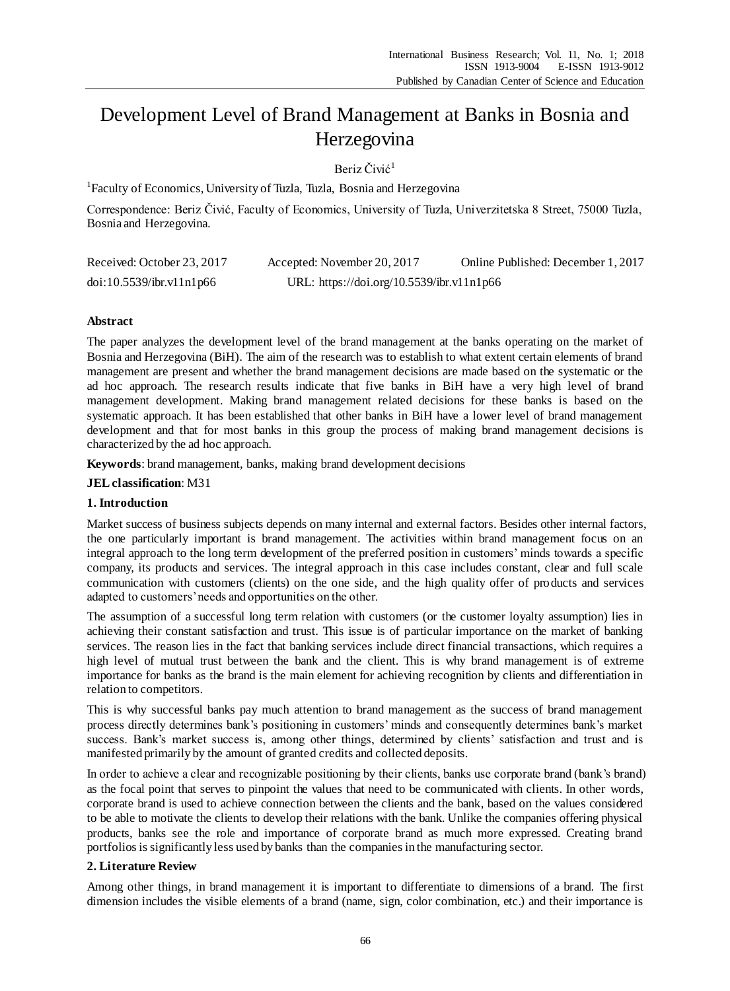# Development Level of Brand Management at Banks in Bosnia and Herzegovina

Beriz Čivić<sup>1</sup>

<sup>1</sup>Faculty of Economics, University of Tuzla, Tuzla, Bosnia and Herzegovina

Correspondence: Beriz Čivić, Faculty of Economics, University of Tuzla, Univerzitetska 8 Street, 75000 Tuzla, Bosnia and Herzegovina.

| Received: October 23, 2017 | Accepted: November 20, 2017               | Online Published: December 1, 2017 |
|----------------------------|-------------------------------------------|------------------------------------|
| doi:10.5539/ibr.v11nlp66   | URL: https://doi.org/10.5539/ibr.v11n1p66 |                                    |

# **Abstract**

The paper analyzes the development level of the brand management at the banks operating on the market of Bosnia and Herzegovina (BiH). The aim of the research was to establish to what extent certain elements of brand management are present and whether the brand management decisions are made based on the systematic or the ad hoc approach. The research results indicate that five banks in BiH have a very high level of brand management development. Making brand management related decisions for these banks is based on the systematic approach. It has been established that other banks in BiH have a lower level of brand management development and that for most banks in this group the process of making brand management decisions is characterized by the ad hoc approach.

**Keywords**: brand management, banks, making brand development decisions

**JEL classification**: M31

## **1. Introduction**

Market success of business subjects depends on many internal and external factors. Besides other internal factors, the one particularly important is brand management. The activities within brand management focus on an integral approach to the long term development of the preferred position in customers' minds towards a specific company, its products and services. The integral approach in this case includes constant, clear and full scale communication with customers (clients) on the one side, and the high quality offer of products and services adapted to customers' needs and opportunities on the other.

The assumption of a successful long term relation with customers (or the customer loyalty assumption) lies in achieving their constant satisfaction and trust. This issue is of particular importance on the market of banking services. The reason lies in the fact that banking services include direct financial transactions, which requires a high level of mutual trust between the bank and the client. This is why brand management is of extreme importance for banks as the brand is the main element for achieving recognition by clients and differentiation in relation to competitors.

This is why successful banks pay much attention to brand management as the success of brand management process directly determines bank's positioning in customers' minds and consequently determines bank's market success. Bank's market success is, among other things, determined by clients' satisfaction and trust and is manifested primarily by the amount of granted credits and collected deposits.

In order to achieve a clear and recognizable positioning by their clients, banks use corporate brand (bank's brand) as the focal point that serves to pinpoint the values that need to be communicated with clients. In other words, corporate brand is used to achieve connection between the clients and the bank, based on the values considered to be able to motivate the clients to develop their relations with the bank. Unlike the companies offering physical products, banks see the role and importance of corporate brand as much more expressed. Creating brand portfolios is significantly less used by banks than the companies in the manufacturing sector.

# **2. Literature Review**

Among other things, in brand management it is important to differentiate to dimensions of a brand. The first dimension includes the visible elements of a brand (name, sign, color combination, etc.) and their importance is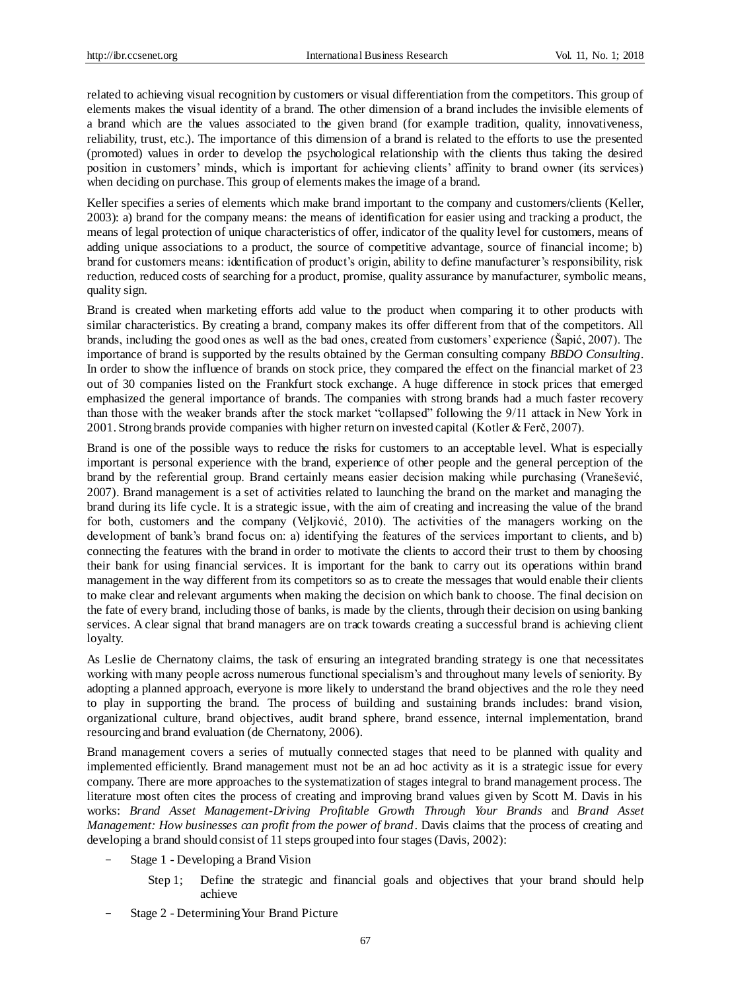related to achieving visual recognition by customers or visual differentiation from the competitors. This group of elements makes the visual identity of a brand. The other dimension of a brand includes the invisible elements of a brand which are the values associated to the given brand (for example tradition, quality, innovativeness, reliability, trust, etc.). The importance of this dimension of a brand is related to the efforts to use the presented (promoted) values in order to develop the psychological relationship with the clients thus taking the desired position in customers' minds, which is important for achieving clients' affinity to brand owner (its services) when deciding on purchase. This group of elements makes the image of a brand.

Keller specifies a series of elements which make brand important to the company and customers/clients (Keller, 2003): a) brand for the company means: the means of identification for easier using and tracking a product, the means of legal protection of unique characteristics of offer, indicator of the quality level for customers, means of adding unique associations to a product, the source of competitive advantage, source of financial income; b) brand for customers means: identification of product's origin, ability to define manufacturer's responsibility, risk reduction, reduced costs of searching for a product, promise, quality assurance by manufacturer, symbolic means, quality sign.

Brand is created when marketing efforts add value to the product when comparing it to other products with similar characteristics. By creating a brand, company makes its offer different from that of the competitors. All brands, including the good ones as well as the bad ones, created from customers' experience (Šapić, 2007). The importance of brand is supported by the results obtained by the German consulting company *BBDO Consulting*. In order to show the influence of brands on stock price, they compared the effect on the financial market of 23 out of 30 companies listed on the Frankfurt stock exchange. A huge difference in stock prices that emerged emphasized the general importance of brands. The companies with strong brands had a much faster recovery than those with the weaker brands after the stock market "collapsed" following the 9/11 attack in New York in 2001. Strong brands provide companies with higher return on invested capital (Kotler & Ferč, 2007).

Brand is one of the possible ways to reduce the risks for customers to an acceptable level. What is especially important is personal experience with the brand, experience of other people and the general perception of the brand by the referential group. Brand certainly means easier decision making while purchasing (Vranešević, 2007). Brand management is a set of activities related to launching the brand on the market and managing the brand during its life cycle. It is a strategic issue, with the aim of creating and increasing the value of the brand for both, customers and the company (Veljković, 2010). The activities of the managers working on the development of bank's brand focus on: a) identifying the features of the services important to clients, and b) connecting the features with the brand in order to motivate the clients to accord their trust to them by choosing their bank for using financial services. It is important for the bank to carry out its operations within brand management in the way different from its competitors so as to create the messages that would enable their clients to make clear and relevant arguments when making the decision on which bank to choose. The final decision on the fate of every brand, including those of banks, is made by the clients, through their decision on using banking services. A clear signal that brand managers are on track towards creating a successful brand is achieving client loyalty.

As Leslie de Chernatony claims, the task of ensuring an integrated branding strategy is one that necessitates working with many people across numerous functional specialism's and throughout many levels of seniority. By adopting a planned approach, everyone is more likely to understand the brand objectives and the role they need to play in supporting the brand. The process of building and sustaining brands includes: brand vision, organizational culture, brand objectives, audit brand sphere, brand essence, internal implementation, brand resourcing and brand evaluation (de Chernatony, 2006).

Brand management covers a series of mutually connected stages that need to be planned with quality and implemented efficiently. Brand management must not be an ad hoc activity as it is a strategic issue for every company. There are more approaches to the systematization of stages integral to brand management process. The literature most often cites the process of creating and improving brand values given by Scott M. Davis in his works: *Brand Asset Management-Driving Profitable Growth Through Your Brands* and *Brand Asset Management: How businesses can profit from the power of brand*. Davis claims that the process of creating and developing a brand should consist of 11 steps grouped into four stages (Davis, 2002):

- Stage 1 Developing a Brand Vision
	- Step 1; Define the strategic and financial goals and objectives that your brand should help achieve
- Stage 2 Determining Your Brand Picture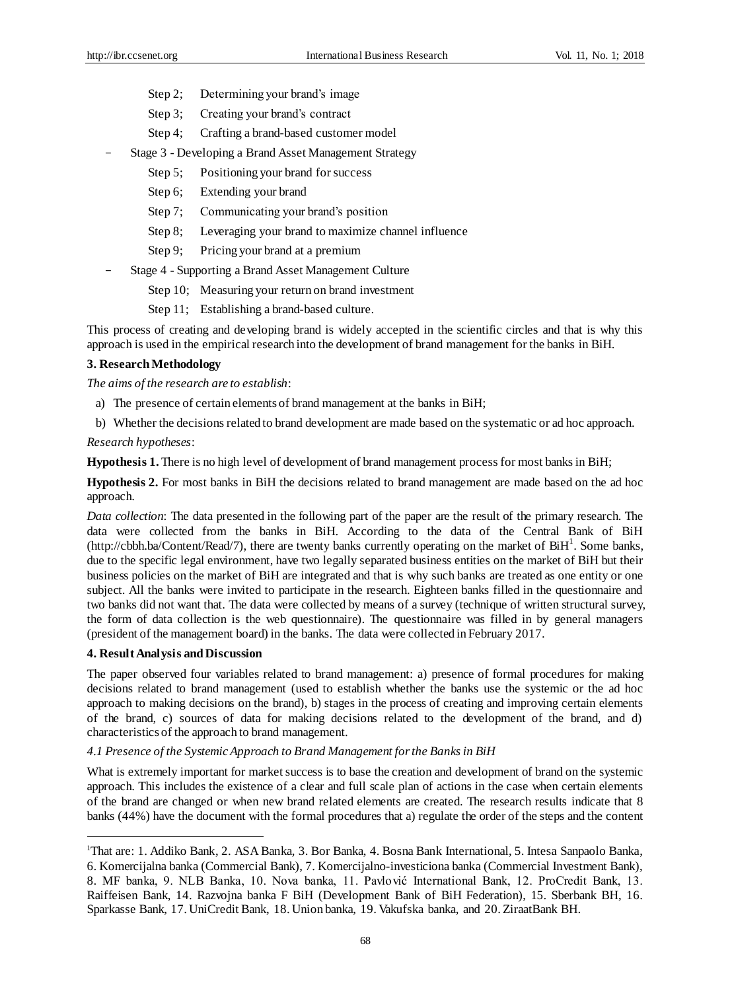- Step 2; Determining your brand's image
- Step 3; Creating your brand's contract
- Step 4; Crafting a brand-based customer model
- Stage 3 Developing a Brand Asset Management Strategy
	- Step 5; Positioning your brand for success
	- Step 6; Extending your brand
	- Step 7; Communicating your brand's position
	- Step 8; Leveraging your brand to maximize channel influence
	- Step 9; Pricing your brand at a premium
- Stage 4 Supporting a Brand Asset Management Culture
	- Step 10; Measuring your return on brand investment
	- Step 11; Establishing a brand-based culture.

This process of creating and developing brand is widely accepted in the scientific circles and that is why this approach is used in the empirical research into the development of brand management for the banks in BiH.

#### **3. Research Methodology**

*The aims of the research are to establish*:

- a) The presence of certain elements of brand management at the banks in BiH;
- b) Whether the decisions related to brand development are made based on the systematic or ad hoc approach.

### *Research hypotheses*:

**Hypothesis 1.** There is no high level of development of brand management process for most banks in BiH;

**Hypothesis 2.** For most banks in BiH the decisions related to brand management are made based on the ad hoc approach.

*Data collection*: The data presented in the following part of the paper are the result of the primary research. The data were collected from the banks in BiH. According to the data of the Central Bank of BiH (http://cbbh.ba/Content/Read/7), there are twenty banks currently operating on the market of BiH<sup>1</sup>. Some banks, due to the specific legal environment, have two legally separated business entities on the market of BiH but their business policies on the market of BiH are integrated and that is why such banks are treated as one entity or one subject. All the banks were invited to participate in the research. Eighteen banks filled in the questionnaire and two banks did not want that. The data were collected by means of a survey (technique of written structural survey, the form of data collection is the web questionnaire). The questionnaire was filled in by general managers (president of the management board) in the banks. The data were collected in February 2017.

## **4. Result Analysis and Discussion**

<u>.</u>

The paper observed four variables related to brand management: a) presence of formal procedures for making decisions related to brand management (used to establish whether the banks use the systemic or the ad hoc approach to making decisions on the brand), b) stages in the process of creating and improving certain elements of the brand, c) sources of data for making decisions related to the development of the brand, and d) characteristics of the approach to brand management.

#### *4.1 Presence of the Systemic Approach to Brand Management for the Banks in BiH*

What is extremely important for market success is to base the creation and development of brand on the systemic approach. This includes the existence of a clear and full scale plan of actions in the case when certain elements of the brand are changed or when new brand related elements are created. The research results indicate that 8 banks (44%) have the document with the formal procedures that a) regulate the order of the steps and the content

<sup>1</sup>That are: 1. Addiko Bank, 2. ASA Banka, 3. Bor Banka, 4. Bosna Bank International, 5. Intesa Sanpaolo Banka, 6. Komercijalna banka (Commercial Bank), 7. Komercijalno-investiciona banka (Commercial Investment Bank), 8. MF banka, 9. NLB Banka, 10. Nova banka, 11. Pavlović International Bank, 12. ProCredit Bank, 13. Raiffeisen Bank, 14. Razvojna banka F BiH (Development Bank of BiH Federation), 15. Sberbank BH, 16. Sparkasse Bank, 17. UniCredit Bank, 18. Union banka, 19. Vakufska banka, and 20. ZiraatBank BH.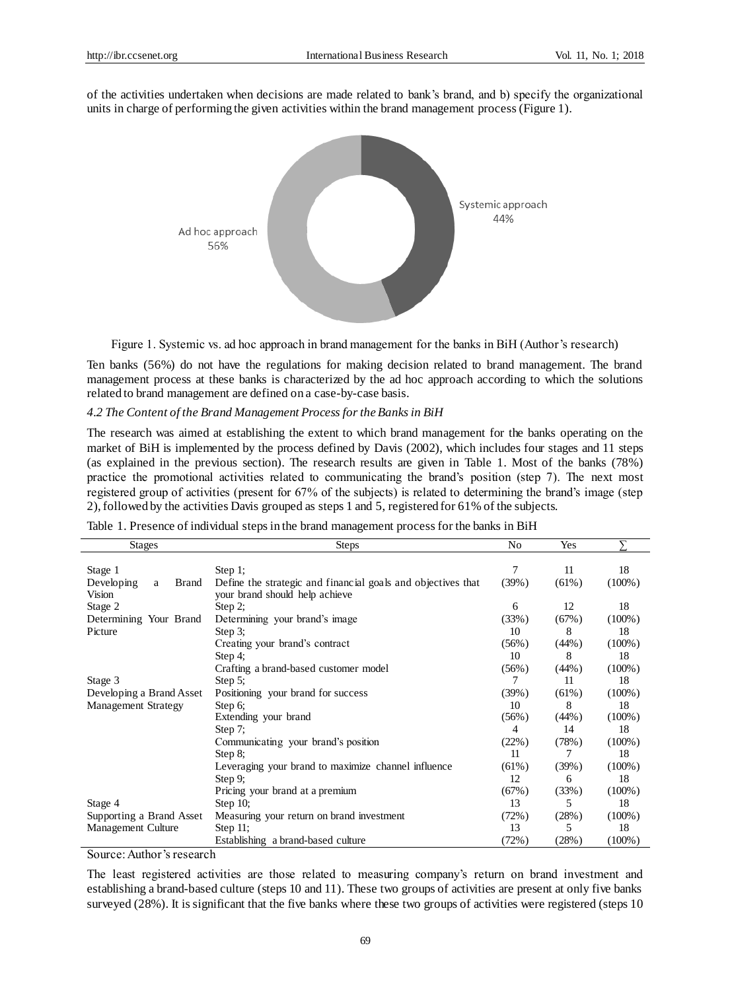of the activities undertaken when decisions are made related to bank's brand, and b) specify the organizational units in charge of performing the given activities within the brand management process (Figure 1).



Figure 1. Systemic vs. ad hoc approach in brand management for the banks in BiH (Author's research)

Ten banks (56%) do not have the regulations for making decision related to brand management. The brand management process at these banks is characterized by the ad hoc approach according to which the solutions related to brand management are defined on a case-by-case basis.

# *4.2 The Content of the Brand Management Process for the Banks in BiH*

The research was aimed at establishing the extent to which brand management for the banks operating on the market of BiH is implemented by the process defined by Davis (2002), which includes four stages and 11 steps (as explained in the previous section). The research results are given in Table 1. Most of the banks (78%) practice the promotional activities related to communicating the brand's position (step 7). The next most registered group of activities (present for 67% of the subjects) is related to determining the brand's image (step 2), followed by the activities Davis grouped as steps 1 and 5, registered for 61% of the subjects.

| <b>Stages</b>                   | <b>Steps</b>                                                 | No       | Yes      |           |
|---------------------------------|--------------------------------------------------------------|----------|----------|-----------|
|                                 |                                                              |          |          |           |
| Stage 1                         | Step $1$ ;                                                   | 7        | 11       | 18        |
| Developing<br><b>Brand</b><br>a | Define the strategic and financial goals and objectives that | (39%)    | $(61\%)$ | $(100\%)$ |
| Vision                          | your brand should help achieve                               |          |          |           |
| Stage 2                         | Step 2;                                                      | 6        | 12       | 18        |
| Determining Your Brand          | Determining your brand's image                               | (33%)    | (67%)    | $(100\%)$ |
| Picture                         | Step $3$ ;                                                   | 10       | 8        | 18        |
|                                 | Creating your brand's contract                               | (56%)    | (44%)    | $(100\%)$ |
|                                 | Step 4;                                                      | 10       | 8        | 18        |
|                                 | Crafting a brand-based customer model                        | (56%)    | (44%)    | $(100\%)$ |
| Stage 3                         | Step $5$ ;                                                   | 7        | 11       | 18        |
| Developing a Brand Asset        | Positioning your brand for success                           |          | $(61\%)$ | $(100\%)$ |
| <b>Management Strategy</b>      | Step 6;                                                      | 10       | 8        | 18        |
|                                 | Extending your brand                                         | $(56\%)$ | (44%)    | $(100\%)$ |
|                                 | Step $7$ ;                                                   | 4        | 14       | 18        |
|                                 | Communicating your brand's position                          | (22%)    | (78%)    | $(100\%)$ |
|                                 | Step $8$ ;                                                   | 11       | 7        | 18        |
|                                 | Leveraging your brand to maximize channel influence          | $(61\%)$ | (39%)    | $(100\%)$ |
|                                 | Step $9$ :                                                   | 12       | 6        | 18        |
|                                 | Pricing your brand at a premium                              | (67%)    | (33%)    | $(100\%)$ |
| Stage 4                         | Step $10$ ;                                                  | 13       | 5        | 18        |
| Supporting a Brand Asset        | Measuring your return on brand investment                    | (72%)    | (28%)    | $(100\%)$ |
| Management Culture              | Step $11$ ;                                                  | 13       | 5        | 18        |
|                                 | Establishing a brand-based culture                           | (72%)    | (28%)    | $(100\%)$ |

Table 1. Presence of individual steps in the brand management process for the banks in BiH

Source: Author's research

The least registered activities are those related to measuring company's return on brand investment and establishing a brand-based culture (steps 10 and 11). These two groups of activities are present at only five banks surveyed (28%). It is significant that the five banks where these two groups of activities were registered (steps 10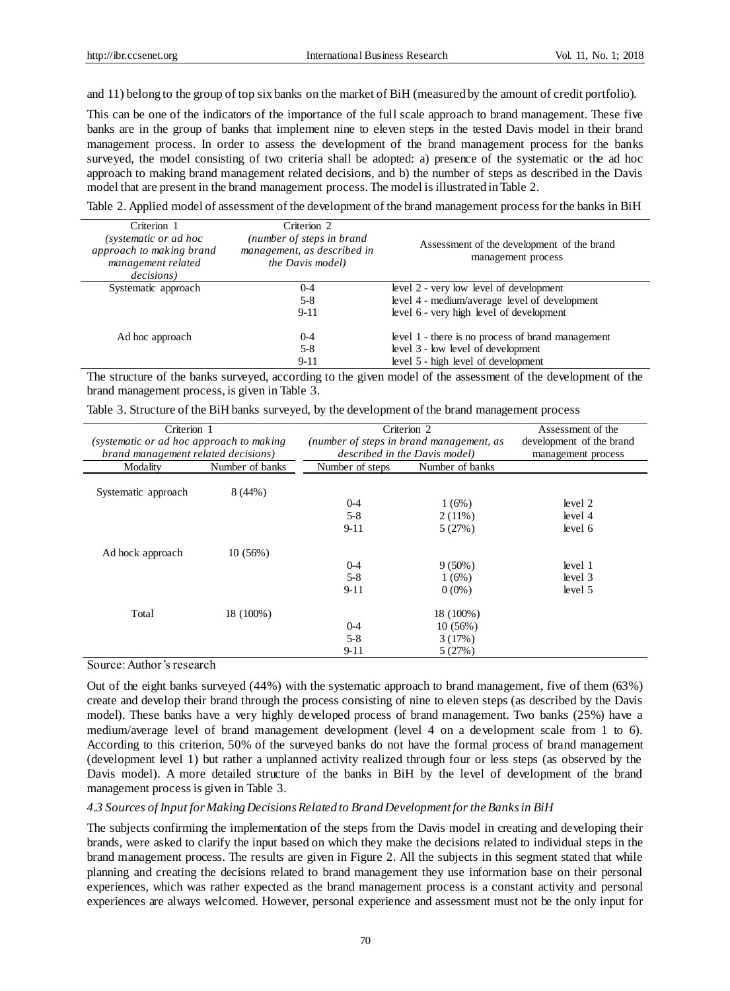and 11) belong to the group of top six banks on the market of BiH (measured by the amount of credit portfolio).

This can be one of the indicators of the importance of the full scale approach to brand management. These five banks are in the group of banks that implement nine to eleven steps in the tested Davis model in their brand management process. In order to assess the development of the brand management process for the banks surveyed, the model consisting of two criteria shall be adopted: a) presence of the systematic or the ad hoc approach to making brand management related decisions, and b) the number of steps as described in the Davis model that are present in the brand management process. The model is illustrated in Table 2.

Table 2. Applied model of assessment of the development of the brand management process for the banks in BiH

| Criterion 1<br>(systematic or ad hoc<br>approach to making brand<br>management related<br><i>decisions</i> ) | Criterion 2<br>(number of steps in brand<br>management, as described in<br>the Davis model) | Assessment of the development of the brand<br>management process |
|--------------------------------------------------------------------------------------------------------------|---------------------------------------------------------------------------------------------|------------------------------------------------------------------|
| Systematic approach                                                                                          | $0 - 4$                                                                                     | level 2 - very low level of development                          |
|                                                                                                              | $5-8$                                                                                       | level 4 - medium/average level of development                    |
|                                                                                                              | $9 - 11$                                                                                    | level 6 - very high level of development                         |
| Ad hoc approach                                                                                              | $0 - 4$                                                                                     | level 1 - there is no process of brand management                |
|                                                                                                              | $5-8$                                                                                       | level 3 - low level of development                               |
|                                                                                                              | $9 - 11$                                                                                    | level 5 - high level of development                              |

The structure of the banks surveyed, according to the given model of the assessment of the development of the brand management process, is given in Table 3.

|  |  |  | Table 3. Structure of the BiH banks surveyed, by the development of the brand management process |  |
|--|--|--|--------------------------------------------------------------------------------------------------|--|
|  |  |  |                                                                                                  |  |

| Criterion 1                              |                 | Criterion 2                              | Assessment of the             |                          |  |
|------------------------------------------|-----------------|------------------------------------------|-------------------------------|--------------------------|--|
| (systematic or ad hoc approach to making |                 | (number of steps in brand management, as |                               | development of the brand |  |
| brand management related decisions)      |                 |                                          | described in the Davis model) |                          |  |
| Modality                                 | Number of banks | Number of steps                          | Number of banks               |                          |  |
| Systematic approach                      | $8(44\%)$       |                                          |                               |                          |  |
|                                          |                 | $0 - 4$                                  | $1(6\%)$                      | level 2                  |  |
|                                          |                 | $5 - 8$                                  | $2(11\%)$                     | level 4                  |  |
|                                          |                 | $9 - 11$                                 | 5(27%)                        | level 6                  |  |
| Ad hock approach                         | $10(56\%)$      |                                          |                               |                          |  |
|                                          |                 | $0 - 4$                                  | $9(50\%)$                     | level 1                  |  |
|                                          |                 | $5 - 8$                                  | $1(6\%)$                      | level 3                  |  |
|                                          |                 | $9-11$                                   | $0(0\%)$                      | level 5                  |  |
| Total                                    | 18 (100%)       |                                          | 18 (100%)                     |                          |  |
|                                          |                 | $0 - 4$                                  | $10(56\%)$                    |                          |  |
|                                          |                 | $5 - 8$                                  | 3(17%)                        |                          |  |
|                                          |                 | $9 - 11$                                 | 5(27%)                        |                          |  |

Source: Author's research

Out of the eight banks surveyed (44%) with the systematic approach to brand management, five of them (63%) create and develop their brand through the process consisting of nine to eleven steps (as described by the Davis model). These banks have a very highly developed process of brand management. Two banks (25%) have a medium/average level of brand management development (level 4 on a development scale from 1 to 6). According to this criterion, 50% of the surveyed banks do not have the formal process of brand management (development level 1) but rather a unplanned activity realized through four or less steps (as observed by the Davis model). A more detailed structure of the banks in BiH by the level of development of the brand management process is given in Table 3.

## *4.3 Sources of Input for Making Decisions Related to Brand Development for the Banks in BiH*

The subjects confirming the implementation of the steps from the Davis model in creating and developing their brands, were asked to clarify the input based on which they make the decisions related to individual steps in the brand management process. The results are given in Figure 2. All the subjects in this segment stated that while planning and creating the decisions related to brand management they use information base on their personal experiences, which was rather expected as the brand management process is a constant activity and personal experiences are always welcomed. However, personal experience and assessment must not be the only input for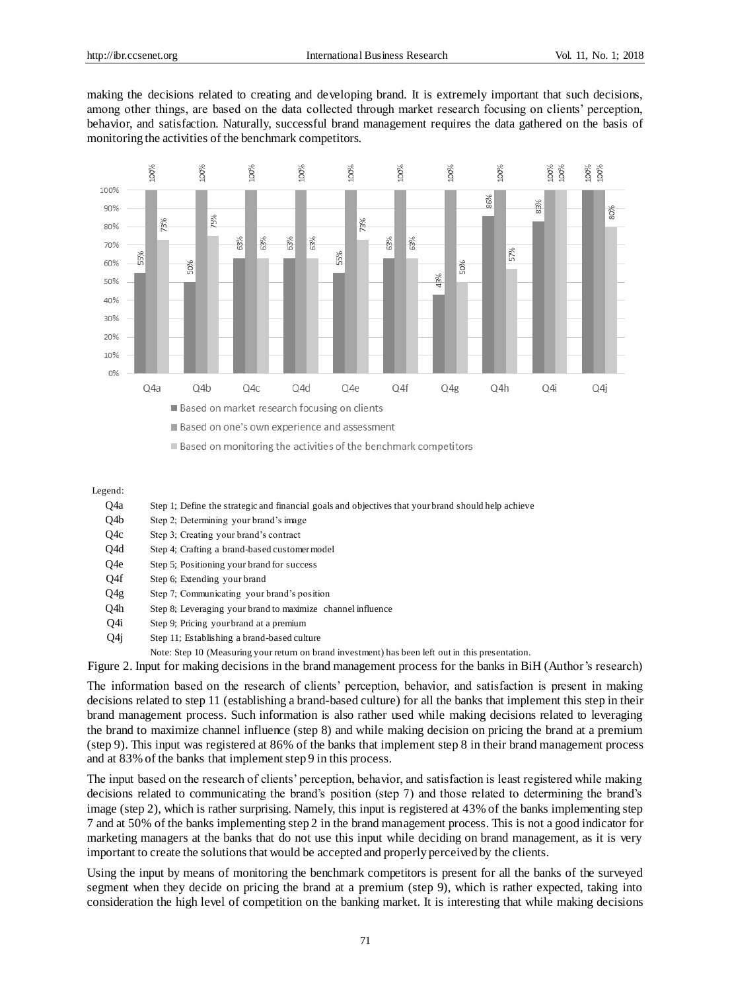making the decisions related to creating and developing brand. It is extremely important that such decisions, among other things, are based on the data collected through market research focusing on clients' perception, behavior, and satisfaction. Naturally, successful brand management requires the data gathered on the basis of monitoring the activities of the benchmark competitors.



Based on one's own experience and assessment

Based on monitoring the activities of the benchmark competitors

Legend:

- Q4a Step 1; Define the strategic and financial goals and objectives that your brand should help achieve
- Q4b Step 2; Determining your brand's image
- Q4c Step 3; Creating your brand's contract
- Q4d Step 4; Crafting a brand-based customer model
- Q4e Step 5; Positioning your brand for success
- Q4f Step 6; Extending your brand
- Q4g Step 7; Communicating your brand's position
- Q4h Step 8; Leveraging your brand to maximize channel influence
- Q4i Step 9; Pricing your brand at a premium
- Q4j Step 11; Establishing a brand-based culture
	- Note: Step 10 (Measuring your return on brand investment) has been left out in this presentation.

Figure 2. Input for making decisions in the brand management process for the banks in BiH (Author's research)

The information based on the research of clients' perception, behavior, and satisfaction is present in making decisions related to step 11 (establishing a brand-based culture) for all the banks that implement this step in their brand management process. Such information is also rather used while making decisions related to leveraging the brand to maximize channel influence (step 8) and while making decision on pricing the brand at a premium (step 9). This input was registered at 86% of the banks that implement step 8 in their brand management process and at 83% of the banks that implement step 9 in this process.

The input based on the research of clients' perception, behavior, and satisfaction is least registered while making decisions related to communicating the brand's position (step 7) and those related to determining the brand's image (step 2), which is rather surprising. Namely, this input is registered at 43% of the banks implementing step 7 and at 50% of the banks implementing step 2 in the brand management process. This is not a good indicator for marketing managers at the banks that do not use this input while deciding on brand management, as it is very important to create the solutions that would be accepted and properly perceived by the clients.

Using the input by means of monitoring the benchmark competitors is present for all the banks of the surveyed segment when they decide on pricing the brand at a premium (step 9), which is rather expected, taking into consideration the high level of competition on the banking market. It is interesting that while making decisions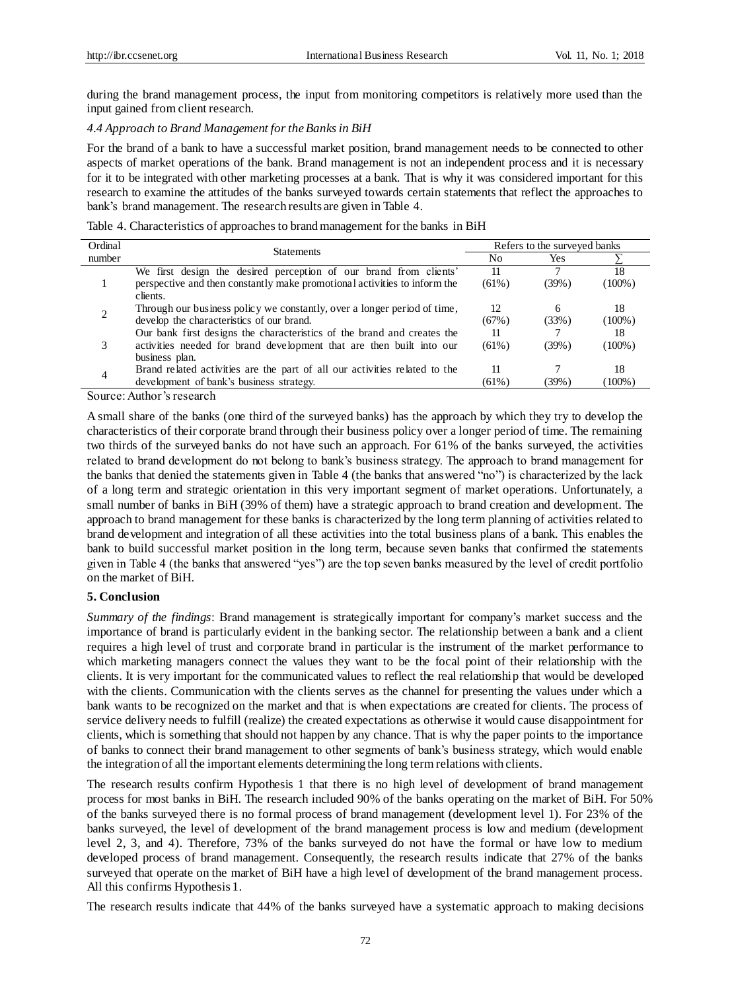during the brand management process, the input from monitoring competitors is relatively more used than the input gained from client research.

# *4.4 Approach to Brand Management for the Banks in BiH*

For the brand of a bank to have a successful market position, brand management needs to be connected to other aspects of market operations of the bank. Brand management is not an independent process and it is necessary for it to be integrated with other marketing processes at a bank. That is why it was considered important for this research to examine the attitudes of the banks surveyed towards certain statements that reflect the approaches to bank's brand management. The research results are given in Table 4.

| Table 4. Characteristics of approaches to brand management for the banks in BiH |  |  |
|---------------------------------------------------------------------------------|--|--|
|---------------------------------------------------------------------------------|--|--|

| Ordinal | <b>Statements</b>                                                          |          | Refers to the surveyed banks |           |  |  |
|---------|----------------------------------------------------------------------------|----------|------------------------------|-----------|--|--|
| number  |                                                                            |          | Yes                          |           |  |  |
|         | We first design the desired perception of our brand from clients'          | 11       |                              | 18        |  |  |
|         | perspective and then constantly make promotional activities to inform the  | $(61\%)$ | $(39\%)$                     | $(100\%)$ |  |  |
|         | clients.                                                                   |          |                              |           |  |  |
| 2       | Through our business policy we constantly, over a longer period of time,   | 12       | 6                            | 18        |  |  |
|         | develop the characteristics of our brand.                                  | (67%)    | (33%)                        | $(100\%)$ |  |  |
|         | Our bank first designs the characteristics of the brand and creates the    | 11       |                              | 18        |  |  |
| 3       | activities needed for brand development that are then built into our       | $(61\%)$ | (39%)                        | $(100\%)$ |  |  |
|         | business plan.                                                             |          |                              |           |  |  |
| 4       | Brand related activities are the part of all our activities related to the | 11       |                              | 18        |  |  |
|         | development of bank's business strategy.                                   | (61%)    | (39%`                        | $(100\%)$ |  |  |

Source: Author's research

A small share of the banks (one third of the surveyed banks) has the approach by which they try to develop the characteristics of their corporate brand through their business policy over a longer period of time. The remaining two thirds of the surveyed banks do not have such an approach. For 61% of the banks surveyed, the activities related to brand development do not belong to bank's business strategy. The approach to brand management for the banks that denied the statements given in Table 4 (the banks that answered "no") is characterized by the lack of a long term and strategic orientation in this very important segment of market operations. Unfortunately, a small number of banks in BiH (39% of them) have a strategic approach to brand creation and development. The approach to brand management for these banks is characterized by the long term planning of activities related to brand development and integration of all these activities into the total business plans of a bank. This enables the bank to build successful market position in the long term, because seven banks that confirmed the statements given in Table 4 (the banks that answered "yes") are the top seven banks measured by the level of credit portfolio on the market of BiH.

#### **5. Conclusion**

*Summary of the findings*: Brand management is strategically important for company's market success and the importance of brand is particularly evident in the banking sector. The relationship between a bank and a client requires a high level of trust and corporate brand in particular is the instrument of the market performance to which marketing managers connect the values they want to be the focal point of their relationship with the clients. It is very important for the communicated values to reflect the real relationship that would be developed with the clients. Communication with the clients serves as the channel for presenting the values under which a bank wants to be recognized on the market and that is when expectations are created for clients. The process of service delivery needs to fulfill (realize) the created expectations as otherwise it would cause disappointment for clients, which is something that should not happen by any chance. That is why the paper points to the importance of banks to connect their brand management to other segments of bank's business strategy, which would enable the integration of all the important elements determining the long term relations with clients.

The research results confirm Hypothesis 1 that there is no high level of development of brand management process for most banks in BiH. The research included 90% of the banks operating on the market of BiH. For 50% of the banks surveyed there is no formal process of brand management (development level 1). For 23% of the banks surveyed, the level of development of the brand management process is low and medium (development level 2, 3, and 4). Therefore, 73% of the banks surveyed do not have the formal or have low to medium developed process of brand management. Consequently, the research results indicate that 27% of the banks surveyed that operate on the market of BiH have a high level of development of the brand management process. All this confirms Hypothesis 1.

The research results indicate that 44% of the banks surveyed have a systematic approach to making decisions